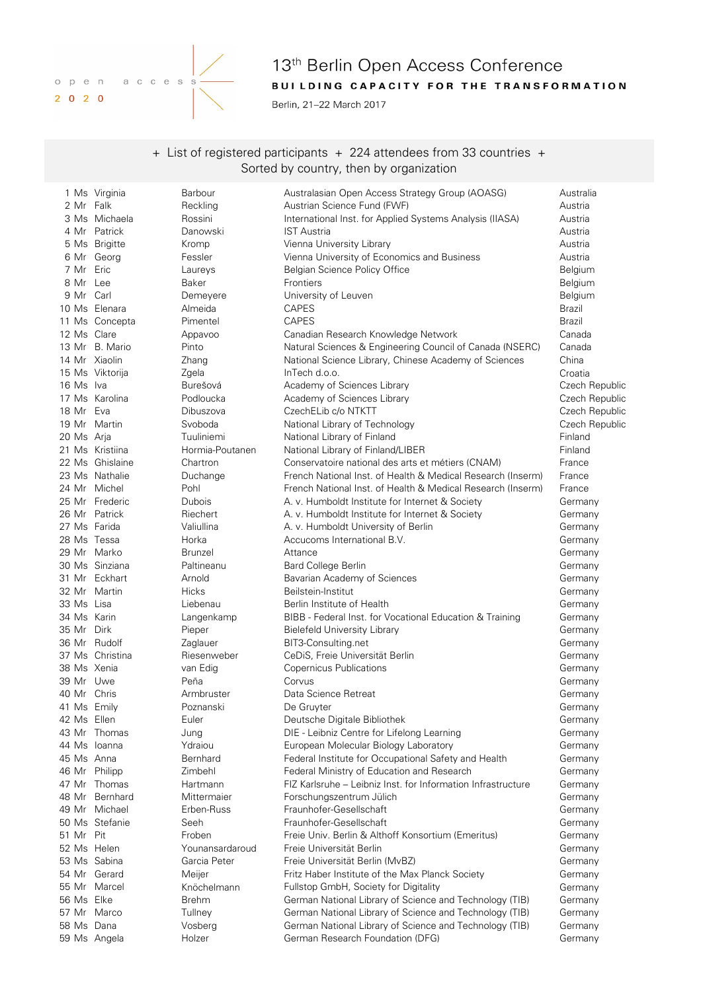

# 13<sup>th</sup> Berlin Open Access Conference BUILDING CAPACITY FOR THE TRANSFORMATION

Berlin, 21-22 March 2017

+ List of registered participants + 224 attendees from 33 countries + Sorted by country, then by organization

|              | 1 Ms Virginia   | Barbour         | Australasian Open Access Strategy Group (AOASG)              | Australia      |
|--------------|-----------------|-----------------|--------------------------------------------------------------|----------------|
| 2 Mr Falk    |                 | Reckling        | Austrian Science Fund (FWF)                                  | Austria        |
|              | 3 Ms Michaela   | Rossini         | International Inst. for Applied Systems Analysis (IIASA)     | Austria        |
|              | 4 Mr Patrick    | Danowski        | <b>IST Austria</b>                                           | Austria        |
|              | 5 Ms Brigitte   | Kromp           | Vienna University Library                                    | Austria        |
|              | 6 Mr Georg      | Fessler         | Vienna University of Economics and Business                  | Austria        |
| 7 Mr Eric    |                 | Laureys         | Belgian Science Policy Office                                | Belgium        |
| 8 Mr Lee     |                 | Baker           | Frontiers                                                    | Belgium        |
| 9 Mr Carl    |                 | Demeyere        | University of Leuven                                         | Belgium        |
|              | 10 Ms Elenara   | Almeida         | <b>CAPES</b>                                                 | Brazil         |
|              | 11 Ms Concepta  | Pimentel        | <b>CAPES</b>                                                 | Brazil         |
| 12 Ms Clare  |                 |                 |                                                              | Canada         |
|              | 13 Mr B. Mario  | Appavoo         | Canadian Research Knowledge Network                          |                |
|              |                 | Pinto           | Natural Sciences & Engineering Council of Canada (NSERC)     | Canada         |
|              | 14 Mr Xiaolin   | Zhang           | National Science Library, Chinese Academy of Sciences        | China          |
|              | 15 Ms Viktorija | Zgela           | InTech d.o.o.                                                | Croatia        |
| 16 Ms Iva    |                 | Burešová        | Academy of Sciences Library                                  | Czech Republic |
|              | 17 Ms Karolina  | Podloucka       | Academy of Sciences Library                                  | Czech Republic |
| 18 Mr Eva    |                 | Dibuszova       | CzechELib c/o NTKTT                                          | Czech Republic |
|              | 19 Mr Martin    | Svoboda         | National Library of Technology                               | Czech Republic |
| 20 Ms Arja   |                 | Tuuliniemi      | National Library of Finland                                  | Finland        |
|              | 21 Ms Kristiina | Hormia-Poutanen | National Library of Finland/LIBER                            | Finland        |
|              | 22 Ms Ghislaine | Chartron        | Conservatoire national des arts et métiers (CNAM)            | France         |
|              | 23 Ms Nathalie  | Duchange        | French National Inst. of Health & Medical Research (Inserm)  | France         |
|              | 24 Mr Michel    | Pohl            | French National Inst. of Health & Medical Research (Inserm)  | France         |
|              | 25 Mr Frederic  | Dubois          | A. v. Humboldt Institute for Internet & Society              | Germany        |
|              | 26 Mr Patrick   | Riechert        | A. v. Humboldt Institute for Internet & Society              | Germany        |
| 27 Ms Farida |                 | Valiullina      | A. v. Humboldt University of Berlin                          | Germany        |
| 28 Ms Tessa  |                 | Horka           | Accucoms International B.V.                                  | Germany        |
|              | 29 Mr Marko     | <b>Brunzel</b>  | Attance                                                      | Germany        |
|              | 30 Ms Sinziana  | Paltineanu      | <b>Bard College Berlin</b>                                   |                |
|              | 31 Mr Eckhart   |                 |                                                              | Germany        |
|              |                 | Arnold          | Bavarian Academy of Sciences                                 | Germany        |
|              | 32 Mr Martin    | <b>Hicks</b>    | Beilstein-Institut                                           | Germany        |
| 33 Ms Lisa   |                 | Liebenau        | Berlin Institute of Health                                   | Germany        |
| 34 Ms Karin  |                 | Langenkamp      | BIBB - Federal Inst. for Vocational Education & Training     | Germany        |
| 35 Mr        | Dirk            | Pieper          | <b>Bielefeld University Library</b>                          | Germany        |
|              | 36 Mr Rudolf    | Zaglauer        | BIT3-Consulting.net                                          | Germany        |
|              | 37 Ms Christina | Riesenweber     | CeDiS, Freie Universität Berlin                              | Germany        |
| 38 Ms Xenia  |                 | van Edig        | <b>Copernicus Publications</b>                               | Germany        |
| 39 Mr Uwe    |                 | Peña            | Corvus                                                       | Germany        |
| 40 Mr Chris  |                 | Armbruster      | Data Science Retreat                                         | Germany        |
| 41 Ms Emily  |                 | Poznanski       | De Gruyter                                                   | Germany        |
| 42 Ms Ellen  |                 | Euler           | Deutsche Digitale Bibliothek                                 | Germany        |
|              | 43 Mr Thomas    | Jung            | DIE - Leibniz Centre for Lifelong Learning                   | Germany        |
|              | 44 Ms Ioanna    | Ydraiou         | European Molecular Biology Laboratory                        | Germany        |
| 45 Ms Anna   |                 | Bernhard        | Federal Institute for Occupational Safety and Health         | Germany        |
|              | 46 Mr Philipp   | Zimbehl         | Federal Ministry of Education and Research                   | Germany        |
| 47 Mr        | Thomas          | Hartmann        | FIZ Karlsruhe – Leibniz Inst. for Information Infrastructure | Germany        |
| 48 Mr        | Bernhard        | Mittermaier     | Forschungszentrum Jülich                                     | Germany        |
| 49 Mr        | Michael         | Erben-Russ      | Fraunhofer-Gesellschaft                                      | Germany        |
|              | 50 Ms Stefanie  | Seeh            | Fraunhofer-Gesellschaft                                      | Germany        |
| 51 Mr        | Pit             | Froben          | Freie Univ. Berlin & Althoff Konsortium (Emeritus)           | Germany        |
| 52 Ms Helen  |                 | Younansardaroud | Freie Universität Berlin                                     | Germany        |
|              | 53 Ms Sabina    | Garcia Peter    | Freie Universität Berlin (MvBZ)                              | Germany        |
|              | 54 Mr Gerard    |                 |                                                              |                |
|              |                 | Meijer          | Fritz Haber Institute of the Max Planck Society              | Germany        |
|              | 55 Mr Marcel    | Knöchelmann     | Fullstop GmbH, Society for Digitality                        | Germany        |
| 56 Ms Elke   |                 | <b>Brehm</b>    | German National Library of Science and Technology (TIB)      | Germany        |
|              | 57 Mr Marco     | Tullney         | German National Library of Science and Technology (TIB)      | Germany        |
| 58 Ms Dana   |                 | Vosberg         | German National Library of Science and Technology (TIB)      | Germany        |
|              | 59 Ms Angela    | Holzer          | German Research Foundation (DFG)                             | Germany        |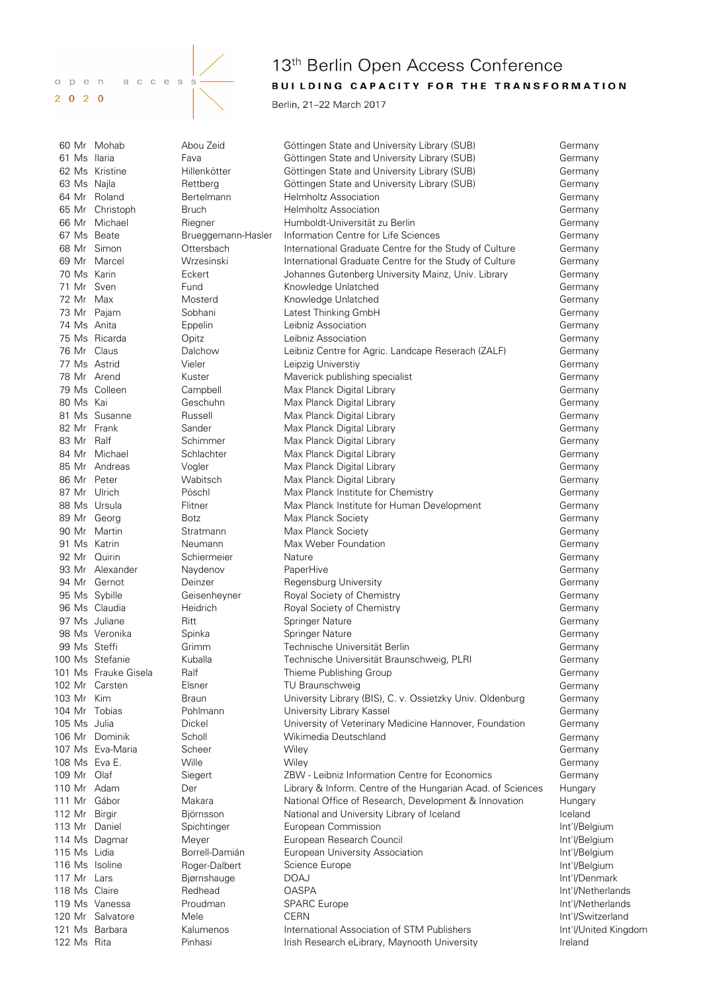

# 122 Ms Rita **Internal Pinhasi** Irish Research eLibrary, Maynooth University **Ireland** Ireland

# 13<sup>th</sup> Berlin Open Access Conference BUILDING CAPACITY FOR THE TRANSFORMATION

Berlin, 21-22 March 2017

|                | 60 Mr Mohab          | Abou Zeid          | Göttingen State and University Library (SUB)                | Germany              |
|----------------|----------------------|--------------------|-------------------------------------------------------------|----------------------|
| 61 Ms Ilaria   |                      | Fava               | Göttingen State and University Library (SUB)                | Germany              |
|                | 62 Ms Kristine       | Hillenkötter       | Göttingen State and University Library (SUB)                | Germany              |
| 63 Ms Najla    |                      | Rettberg           | Göttingen State and University Library (SUB)                | Germany              |
|                | 64 Mr Roland         | Bertelmann         | <b>Helmholtz Association</b>                                | Germany              |
|                | 65 Mr Christoph      | <b>Bruch</b>       | <b>Helmholtz Association</b>                                | Germany              |
|                | 66 Mr Michael        | Riegner            | Humboldt-Universität zu Berlin                              | Germany              |
| 67 Ms Beate    |                      | Brueggemann-Hasler | Information Centre for Life Sciences                        | Germany              |
| 68 Mr Simon    |                      | Ottersbach         | International Graduate Centre for the Study of Culture      | Germany              |
| 69 Mr          | Marcel               | Wrzesinski         | International Graduate Centre for the Study of Culture      | Germany              |
| 70 Ms Karin    |                      | Eckert             | Johannes Gutenberg University Mainz, Univ. Library          | Germany              |
| 71 Mr          | Sven                 | Fund               | Knowledge Unlatched                                         | Germany              |
| 72 Mr Max      |                      | Mosterd            | Knowledge Unlatched                                         | Germany              |
| 73 Mr Pajam    |                      | Sobhani            | Latest Thinking GmbH                                        | Germany              |
| 74 Ms Anita    |                      | Eppelin            | Leibniz Association                                         | Germany              |
|                | 75 Ms Ricarda        | Opitz              | Leibniz Association                                         | Germany              |
| 76 Mr          | Claus                | Dalchow            | Leibniz Centre for Agric. Landcape Reserach (ZALF)          | Germany              |
| 77 Ms Astrid   |                      | Vieler             |                                                             | Germany              |
| 78 Mr Arend    |                      |                    | Leipzig Universtiy                                          |                      |
|                |                      | Kuster             | Maverick publishing specialist                              | Germany              |
|                | 79 Ms Colleen        | Campbell           | Max Planck Digital Library                                  | Germany              |
| 80 Ms Kai      |                      | Geschuhn           | Max Planck Digital Library                                  | Germany              |
|                | 81 Ms Susanne        | Russell            | Max Planck Digital Library                                  | Germany              |
| 82 Mr Frank    |                      | Sander             | Max Planck Digital Library                                  | Germany              |
| 83 Mr Ralf     |                      | Schimmer           | Max Planck Digital Library                                  | Germany              |
|                | 84 Mr Michael        | Schlachter         | Max Planck Digital Library                                  | Germany              |
|                | 85 Mr Andreas        | Vogler             | Max Planck Digital Library                                  | Germany              |
| 86 Mr Peter    |                      | Wabitsch           | Max Planck Digital Library                                  | Germany              |
| 87 Mr Ulrich   |                      | Pöschl             | Max Planck Institute for Chemistry                          | Germany              |
| 88 Ms Ursula   |                      | Flitner            | Max Planck Institute for Human Development                  | Germany              |
| 89 Mr Georg    |                      | <b>Botz</b>        | Max Planck Society                                          | Germany              |
|                | 90 Mr Martin         | Stratmann          | Max Planck Society                                          | Germany              |
| 91 Ms Katrin   |                      | Neumann            | Max Weber Foundation                                        | Germany              |
| 92 Mr          | Quirin               | Schiermeier        | Nature                                                      | Germany              |
|                | 93 Mr Alexander      | Naydenov           | PaperHive                                                   | Germany              |
|                | 94 Mr Gernot         | Deinzer            | Regensburg University                                       | Germany              |
| 95 Ms Sybille  |                      | Geisenheyner       | Royal Society of Chemistry                                  | Germany              |
|                | 96 Ms Claudia        | Heidrich           | Royal Society of Chemistry                                  | Germany              |
|                | 97 Ms Juliane        | Ritt               | Springer Nature                                             | Germany              |
|                | 98 Ms Veronika       | Spinka             | <b>Springer Nature</b>                                      | Germany              |
| 99 Ms Steffi   |                      | Grimm              | Technische Universität Berlin                               | Germany              |
|                | 100 Ms Stefanie      | Kuballa            | Technische Universität Braunschweig, PLRI                   | Germany              |
|                | 101 Ms Frauke Gisela | Ralf               | Thieme Publishing Group                                     | Germany              |
|                | 102 Mr Carsten       | Elsner             | TU Braunschweig                                             | Germany              |
| 103 Mr         | Kim                  | <b>Braun</b>       | University Library (BIS), C. v. Ossietzky Univ. Oldenburg   | Germany              |
| 104 Mr Tobias  |                      | Pohlmann           | University Library Kassel                                   | Germany              |
| 105 Ms Julia   |                      | Dickel             | University of Veterinary Medicine Hannover, Foundation      | Germany              |
|                | 106 Mr Dominik       | Scholl             | Wikimedia Deutschland                                       | Germany              |
|                | 107 Ms Eva-Maria     | Scheer             | Wiley                                                       | Germany              |
| 108 Ms Eva E.  |                      | Wille              | Wiley                                                       | Germany              |
| 109 Mr Olaf    |                      |                    | ZBW - Leibniz Information Centre for Economics              | Germany              |
| 110 Mr Adam    |                      | Siegert            |                                                             |                      |
| 111 Mr Gábor   |                      | Der                | Library & Inform. Centre of the Hungarian Acad. of Sciences | Hungary              |
|                |                      | Makara             | National Office of Research, Development & Innovation       | Hungary              |
| 112 Mr Birgir  |                      | Björnsson          | National and University Library of Iceland                  | Iceland              |
| 113 Mr Daniel  |                      | Spichtinger        | European Commission                                         | Int'l/Belgium        |
|                | 114 Ms Dagmar        | Meyer              | European Research Council                                   | Int'l/Belgium        |
| 115 Ms Lidia   |                      | Borrell-Damián     | European University Association                             | Int'l/Belgium        |
| 116 Ms Isoline |                      | Roger-Dalbert      | Science Europe                                              | Int'l/Belgium        |
| 117 Mr Lars    |                      | Bjørnshauge        | <b>DOAJ</b>                                                 | Int'l/Denmark        |
| 118 Ms Claire  |                      | Redhead            | <b>OASPA</b>                                                | Int'l/Netherlands    |
|                | 119 Ms Vanessa       | Proudman           | <b>SPARC</b> Europe                                         | Int'l/Netherlands    |
|                | 120 Mr Salvatore     | Mele               | <b>CERN</b>                                                 | Int'l/Switzerland    |
| 121 Ms Barbara |                      | Kalumenos          | International Association of STM Publishers                 | Int'l/United Kingdom |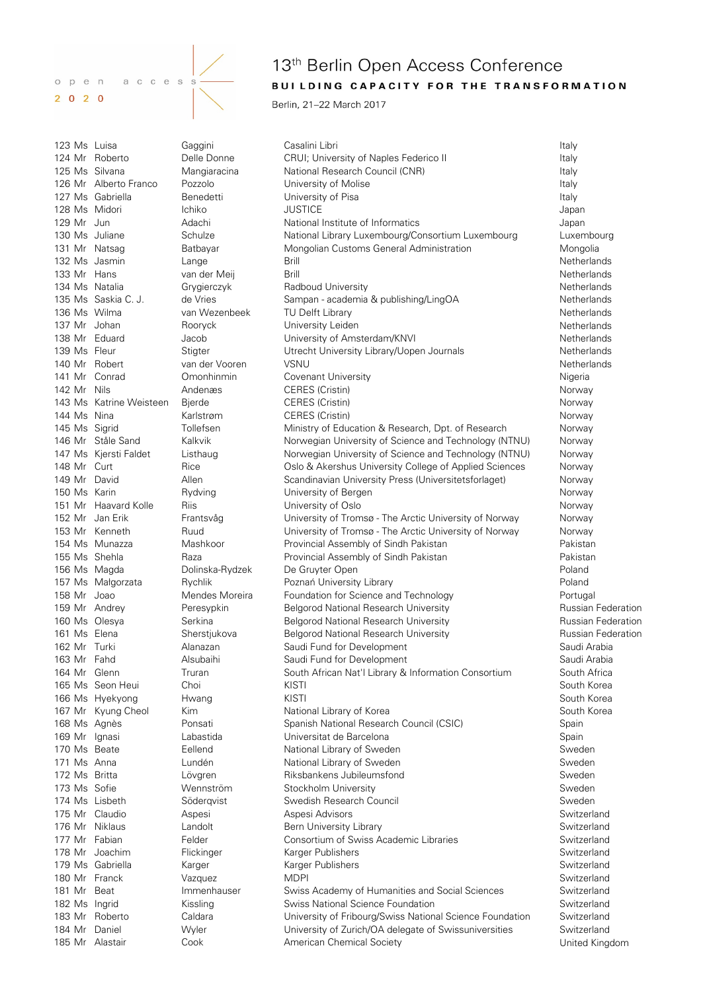

# 13<sup>th</sup> Berlin Open Access Conference BUILDING CAPACITY FOR THE TRANSFORMATION

Berlin, 21-22 March 2017

123 Ms Luisa Gaggini Casalini Libri Italy 124 Mr Roberto **Delle Donne** CRUI; University of Naples Federico II and CRUI; University of Naples Federico II 125 Ms Silvana **Mangiaracina** National Research Council (CNR) **Italy** Italy 126 Mr Alberto Franco Pozzolo **Inversity of Molise** Italy **Italy** Italy 127 Ms Gabriella **Benedetti** Benedetti University of Pisa **Italy** Italy 128 Ms Midori Ichiko JUSTICE Japan 129 Mr Jun **Mational Institute of Informatics** Mational Institute of Informatics and Alexandr Mational Institute of Informatics Alexandr Mational Institute of Informatics Alexandr Mational Institute of Informatics Alexandr 130 Ms Juliane Schulze National Library Luxembourg/Consortium Luxembourg Luxembourg 131 Mr Natsag Batbayar Mongolian Customs General Administration Mongolia 132 Ms Jasmin Lange Lange Brill Netherlands Netherlands 133 Mr Hans van der Meij Brill Netherlands 134 Ms Natalia **Grygierczyk** Radboud University **Netherlands** Netherlands 135 Ms Saskia C. J. de Vries Sampan - academia & publishing/LingOA Netherlands 136 Ms Wilma van Wezenbeek IV Delft Library Netherlands Netherlands 137 Mr Johan **Rooryck Brook Brook University Leiden** Netherlands Netherlands 138 Mr Eduard Jacob University of Amsterdam/KNVI Netherlands 139 Ms Fleur Stigter Summan Utrecht University Library/Uopen Journals Netherlands 140 Mr Robert van der Vooren VSNU Netherlands 141 Mr Conrad Comonhinmin Covenant University **Nigeria** Nigeria 142 Mr Nils Andenæs CERES (Cristin) Norway 143 Ms Katrine Weisteen Bjerde CERES (Cristin) Norway 144 Ms Nina **Karlstrøm CERES (Cristin)** Norway Norway 145 Ms Sigrid Tollefsen Ministry of Education & Research, Dpt. of Research Norway 146 Mr Ståle Sand Kalkvik Norwegian University of Science and Technology (NTNU) Norway 147 Ms Kjersti Faldet Listhaug Norwegian University of Science and Technology (NTNU) Norway 148 Mr Curt Rice Rice Oslo & Akershus University College of Applied Sciences Norway 149 Mr David Allen Allen Scandinavian University Press (Universitetsforlaget) Norway 150 Ms Karin **Rydving Community Community Community** University of Bergen Norway Norway 151 Mr Haavard Kolle Riis University of Oslo Norway 152 Mr Jan Erik Frantsvåg University of Tromsø - The Arctic University of Norway Norway 153 Mr Kenneth Ruud University of Tromsø - The Arctic University of Norway Norway 154 Ms Munazza Mashkoor Provincial Assembly of Sindh Pakistan Pakistan 155 Ms Shehla Raza Provincial Assembly of Sindh Pakistan Pakistan 156 Ms Magda Dolinska-Rydzek De Gruyter Open Poland 157 Ms Małgorzata Rychlik Poznań University Library Poland 158 Mr Joao **Mendes Moreira** Foundation for Science and Technology **Portugal** Portugal 159 Mr Andrey **Peresypkin** Belgorod National Research University **Russian Federation** 160 Ms Olesya **Serkina** Belgorod National Research University **Russian Federation** Russian Federation 161 Ms Elena **Sherstjukova** Belgorod National Research University **Russian Federation** 162 Mr Turki Alanazan Saudi Fund for Development Saudi Arabia 163 Mr Fahd Alsubaihi Saudi Fund for Development Saudi Arabia 164 Mr Glenn Truran South African Nat'l Library & Information Consortium South Africa 165 Ms Seon Heui Choi Choi KISTI CHO CHOI South Korea 166 Ms Hyekyong Hwang KISTI Names And American South Korea 167 Mr Kyung Cheol Kim National Library of Korea **South Korea** South Korea South Korea 168 Ms Agnès Ponsati Spanish National Research Council (CSIC) Spain 169 Mr Ignasi Labastida Universitat de Barcelona Spain 170 Ms Beate Eellend National Library of Sweden Sweden 171 Ms Anna **Lundén** Cunden National Library of Sweden **National Library of Sweden** Sweden 172 Ms Britta **Lövgren** Biksbankens Jubileumsfond **Sweden** Sweden 173 Ms Sofie **Stockholm University** Stockholm University Sweden 174 Ms Lisbeth Söderqvist Swedish Research Council Sweden 175 Mr Claudio Aspesi Aspesi Advisors Switzerland 176 Mr Niklaus Landolt Bern University Library Switzerland Switzerland 177 Mr Fabian **Felder** Felder Consortium of Swiss Academic Libraries Consortium of Switzerland 178 Mr Joachim Flickinger Flickinger Karger Publishers Switzerland Switzerland 179 Ms Gabriella and Karger Charger Karger Publishers Switzerland Switzerland 180 Mr Franck Carolyn Vazquez MDPI MOME Switzerland Switzerland 181 Mr Beat Immenhauser Swiss Academy of Humanities and Social Sciences Switzerland 182 Ms Ingrid **Kissling Swiss National Science Foundation** Switzerland Switzerland 183 Mr Roberto Caldara University of Fribourg/Swiss National Science Foundation Switzerland 184 Mr Daniel **Wyler** Wyler University of Zurich/OA delegate of Swissuniversities Switzerland 185 Mr Alastair Cook Cook American Chemical Society Chemical Society Cook United Kingdom